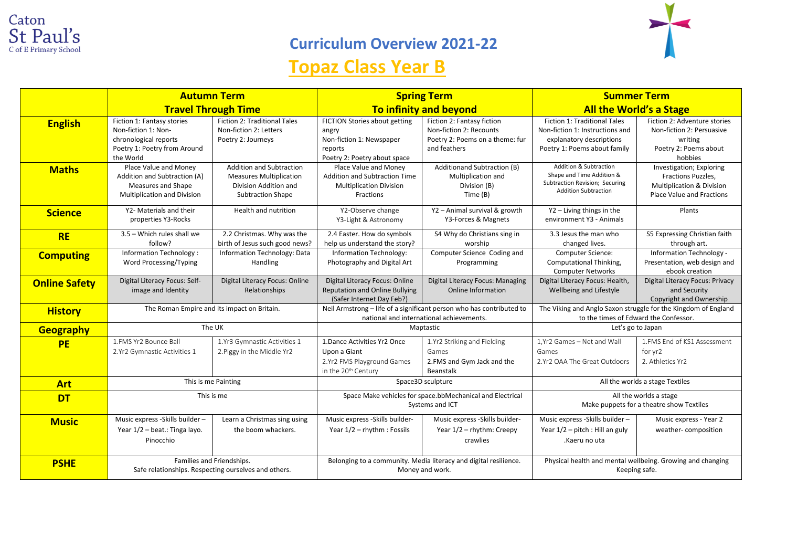

## **Curriculum Overview 2021-22**

## **Topaz Class Year B**



|                      | <b>Autumn Term</b><br><b>Travel Through Time</b>                                                                        |                                                                                                                        | <b>Spring Term</b>                                                                                               |                                                                                                          | <b>Summer Term</b>                                                                                                                 |                                                                                                                     |
|----------------------|-------------------------------------------------------------------------------------------------------------------------|------------------------------------------------------------------------------------------------------------------------|------------------------------------------------------------------------------------------------------------------|----------------------------------------------------------------------------------------------------------|------------------------------------------------------------------------------------------------------------------------------------|---------------------------------------------------------------------------------------------------------------------|
|                      |                                                                                                                         |                                                                                                                        | <b>To infinity and beyond</b>                                                                                    |                                                                                                          | <b>All the World's a Stage</b>                                                                                                     |                                                                                                                     |
| <b>English</b>       | Fiction 1: Fantasy stories<br>Non-fiction 1: Non-<br>chronological reports<br>Poetry 1: Poetry from Around<br>the World | Fiction 2: Traditional Tales<br>Non-fiction 2: Letters<br>Poetry 2: Journeys                                           | FICTION Stories about getting<br>angry<br>Non-fiction 1: Newspaper<br>reports<br>Poetry 2: Poetry about space    | Fiction 2: Fantasy fiction<br>Non-fiction 2: Recounts<br>Poetry 2: Poems on a theme: fur<br>and feathers | <b>Fiction 1: Traditional Tales</b><br>Non-fiction 1: Instructions and<br>explanatory descriptions<br>Poetry 1: Poems about family | Fiction 2: Adventure stories<br>Non-fiction 2: Persuasive<br>writing<br>Poetry 2: Poems about<br>hobbies            |
| <b>Maths</b>         | Place Value and Money<br>Addition and Subtraction (A)<br>Measures and Shape<br>Multiplication and Division              | <b>Addition and Subtraction</b><br><b>Measures Multiplication</b><br>Division Addition and<br><b>Subtraction Shape</b> | Place Value and Money<br>Addition and Subtraction Time<br><b>Multiplication Division</b><br>Fractions            | Additionand Subtraction (B)<br>Multiplication and<br>Division (B)<br>Time (B)                            | <b>Addition &amp; Subtraction</b><br>Shape and Time Addition &<br>Subtraction Revision; Securing<br><b>Addition Subtraction</b>    | Investigation; Exploring<br>Fractions Puzzles,<br><b>Multiplication &amp; Division</b><br>Place Value and Fractions |
| <b>Science</b>       | Y2- Materials and their<br>properties Y3-Rocks                                                                          | Health and nutrition                                                                                                   | Y2-Observe change<br>Y3-Light & Astronomy                                                                        | Y2 - Animal survival & growth<br>Y3-Forces & Magnets                                                     | Y2 - Living things in the<br>environment Y3 - Animals                                                                              | Plants                                                                                                              |
| <b>RE</b>            | 3.5 - Which rules shall we<br>follow?                                                                                   | 2.2 Christmas. Why was the<br>birth of Jesus such good news?                                                           | 2.4 Easter. How do symbols<br>help us understand the story?                                                      | S4 Why do Christians sing in<br>worship                                                                  | 3.3 Jesus the man who<br>changed lives.                                                                                            | S5 Expressing Christian faith<br>through art.                                                                       |
| <b>Computing</b>     | <b>Information Technology:</b><br>Word Processing/Typing                                                                | Information Technology: Data<br>Handling                                                                               | Information Technology:<br>Photography and Digital Art                                                           | Computer Science Coding and<br>Programming                                                               | Computer Science:<br>Computational Thinking,<br><b>Computer Networks</b>                                                           | Information Technology -<br>Presentation, web design and<br>ebook creation                                          |
| <b>Online Safety</b> | Digital Literacy Focus: Self-<br>image and Identity                                                                     | Digital Literacy Focus: Online<br>Relationships                                                                        | Digital Literacy Focus: Online<br><b>Reputation and Online Bullying</b><br>(Safer Internet Day Feb?)             | Digital Literacy Focus: Managing<br><b>Online Information</b>                                            | Digital Literacy Focus: Health,<br>Wellbeing and Lifestyle                                                                         | <b>Digital Literacy Focus: Privacy</b><br>and Security<br>Copyright and Ownership                                   |
| <b>History</b>       | The Roman Empire and its impact on Britain.                                                                             |                                                                                                                        | Neil Armstrong - life of a significant person who has contributed to<br>national and international achievements. |                                                                                                          | The Viking and Anglo Saxon struggle for the Kingdom of England<br>to the times of Edward the Confessor.                            |                                                                                                                     |
| <b>Geography</b>     | The UK                                                                                                                  |                                                                                                                        | Maptastic                                                                                                        |                                                                                                          | Let's go to Japan                                                                                                                  |                                                                                                                     |
| <b>PE</b>            | 1.FMS Yr2 Bounce Ball<br>2.Yr2 Gymnastic Activities 1                                                                   | 1.Yr3 Gymnastic Activities 1<br>2. Piggy in the Middle Yr2                                                             | 1. Dance Activities Yr2 Once<br>Upon a Giant<br>2.Yr2 FMS Playground Games<br>in the 20 <sup>th</sup> Century    | 1.Yr2 Striking and Fielding<br>Games<br>2.FMS and Gym Jack and the<br><b>Beanstalk</b>                   | 1.Yr2 Games - Net and Wall<br>Games<br>2.Yr2 OAA The Great Outdoors                                                                | 1.FMS End of KS1 Assessment<br>for yr2<br>2. Athletics Yr2                                                          |
| <b>Art</b>           | This is me Painting                                                                                                     |                                                                                                                        | Space3D sculpture                                                                                                |                                                                                                          | All the worlds a stage Textiles                                                                                                    |                                                                                                                     |
| <b>DT</b>            | This is me                                                                                                              |                                                                                                                        | Space Make vehicles for space.bbMechanical and Electrical<br>Systems and ICT                                     |                                                                                                          | All the worlds a stage<br>Make puppets for a theatre show Textiles                                                                 |                                                                                                                     |
| <b>Music</b>         | Music express -Skills builder -<br>Year 1/2 - beat.: Tinga layo.<br>Pinocchio                                           | Learn a Christmas sing using<br>the boom whackers.                                                                     | Music express -Skills builder-<br>Year 1/2 - rhythm: Fossils                                                     | Music express -Skills builder-<br>Year 1/2 - rhythm: Creepy<br>crawlies                                  | Music express -Skills builder -<br>Year $1/2$ – pitch : Hill an guly<br>.Kaeru no uta                                              | Music express - Year 2<br>weather-composition                                                                       |
| <b>PSHE</b>          | Families and Friendships.<br>Safe relationships. Respecting ourselves and others.                                       |                                                                                                                        | Belonging to a community. Media literacy and digital resilience.<br>Money and work.                              |                                                                                                          | Physical health and mental wellbeing. Growing and changing<br>Keeping safe.                                                        |                                                                                                                     |